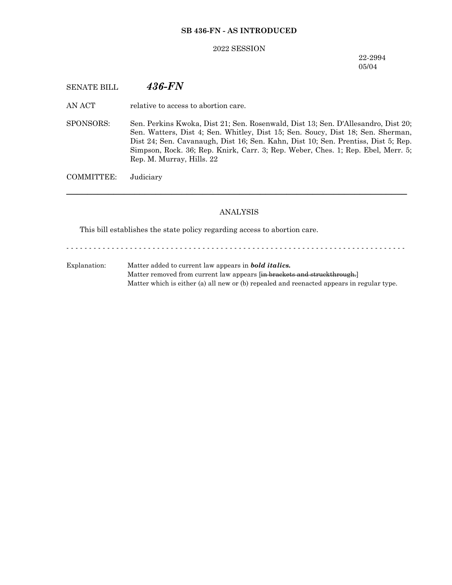#### **SB 436-FN - AS INTRODUCED**

#### 2022 SESSION

22-2994 05/04

## SENATE BILL *436-FN*

AN ACT relative to access to abortion care.

SPONSORS: Sen. Perkins Kwoka, Dist 21; Sen. Rosenwald, Dist 13; Sen. D'Allesandro, Dist 20; Sen. Watters, Dist 4; Sen. Whitley, Dist 15; Sen. Soucy, Dist 18; Sen. Sherman, Dist 24; Sen. Cavanaugh, Dist 16; Sen. Kahn, Dist 10; Sen. Prentiss, Dist 5; Rep. Simpson, Rock. 36; Rep. Knirk, Carr. 3; Rep. Weber, Ches. 1; Rep. Ebel, Merr. 5; Rep. M. Murray, Hills. 22

COMMITTEE: Judiciary

#### ANALYSIS

─────────────────────────────────────────────────────────────────

This bill establishes the state policy regarding access to abortion care.

- - - - - - - - - - - - - - - - - - - - - - - - - - - - - - - - - - - - - - - - - - - - - - - - - - - - - - - - - - - - - - - - - - - - - - - - - - -

Explanation: Matter added to current law appears in *bold italics.* Matter removed from current law appears [in brackets and struckthrough.] Matter which is either (a) all new or (b) repealed and reenacted appears in regular type.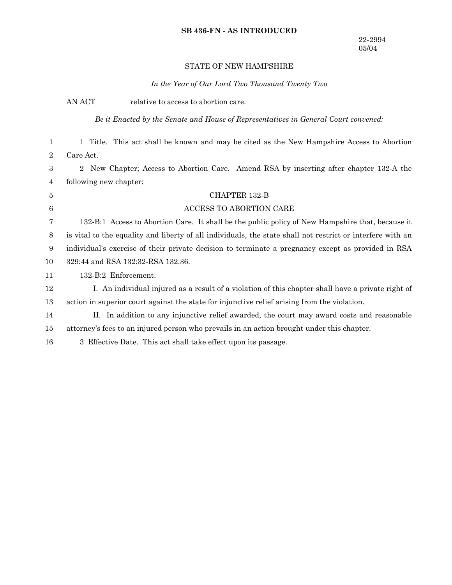#### **SB 436-FN - AS INTRODUCED**

#### STATE OF NEW HAMPSHIRE

*In the Year of Our Lord Two Thousand Twenty Two*

AN ACT relative to access to abortion care.

*Be it Enacted by the Senate and House of Representatives in General Court convened:*

1 Title. This act shall be known and may be cited as the New Hampshire Access to Abortion Care Act. 1 2

2 New Chapter; Access to Abortion Care. Amend RSA by inserting after chapter 132-A the following new chapter: 3 4

CHAPTER 132-B ACCESS TO ABORTION CARE 132-B:1 Access to Abortion Care. It shall be the public policy of New Hampshire that, because it is vital to the equality and liberty of all individuals, the state shall not restrict or interfere with an individual's exercise of their private decision to terminate a pregnancy except as provided in RSA 329:44 and RSA 132:32-RSA 132:36. 132-B:2 Enforcement.

I. An individual injured as a result of a violation of this chapter shall have a private right of action in superior court against the state for injunctive relief arising from the violation. 12 13

II. In addition to any injunctive relief awarded, the court may award costs and reasonable attorney's fees to an injured person who prevails in an action brought under this chapter. 14 15

3 Effective Date. This act shall take effect upon its passage. 16